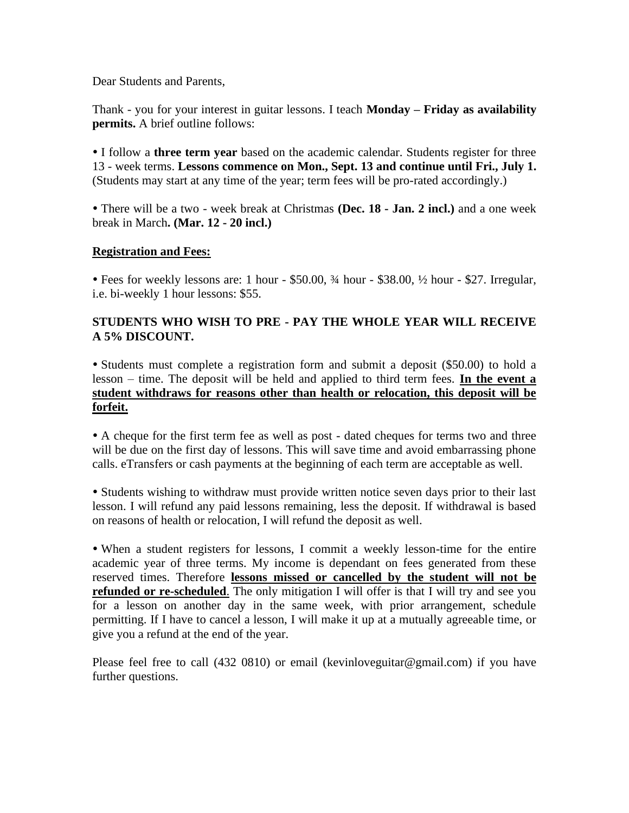Dear Students and Parents,

Thank - you for your interest in guitar lessons. I teach **Monday – Friday as availability permits.** A brief outline follows:

 I follow a **three term year** based on the academic calendar. Students register for three 13 - week terms. **Lessons commence on Mon., Sept. 13 and continue until Fri., July 1.** (Students may start at any time of the year; term fees will be pro-rated accordingly.)

 There will be a two - week break at Christmas **(Dec. 18 - Jan. 2 incl.)** and a one week break in March**. (Mar. 12 - 20 incl.)**

## **Registration and Fees:**

 Fees for weekly lessons are: 1 hour - \$50.00, ¾ hour - \$38.00, ½ hour - \$27. Irregular, i.e. bi-weekly 1 hour lessons: \$55.

## **STUDENTS WHO WISH TO PRE - PAY THE WHOLE YEAR WILL RECEIVE A 5% DISCOUNT.**

 Students must complete a registration form and submit a deposit (\$50.00) to hold a lesson – time. The deposit will be held and applied to third term fees. **In the event a student withdraws for reasons other than health or relocation, this deposit will be forfeit.**

 A cheque for the first term fee as well as post - dated cheques for terms two and three will be due on the first day of lessons. This will save time and avoid embarrassing phone calls. eTransfers or cash payments at the beginning of each term are acceptable as well.

 Students wishing to withdraw must provide written notice seven days prior to their last lesson. I will refund any paid lessons remaining, less the deposit. If withdrawal is based on reasons of health or relocation, I will refund the deposit as well.

 When a student registers for lessons, I commit a weekly lesson-time for the entire academic year of three terms. My income is dependant on fees generated from these reserved times. Therefore **lessons missed or cancelled by the student will not be refunded or re-scheduled**. The only mitigation I will offer is that I will try and see you for a lesson on another day in the same week, with prior arrangement, schedule permitting. If I have to cancel a lesson, I will make it up at a mutually agreeable time, or give you a refund at the end of the year.

Please feel free to call (432 0810) or email (kevinloveguitar@gmail.com) if you have further questions.